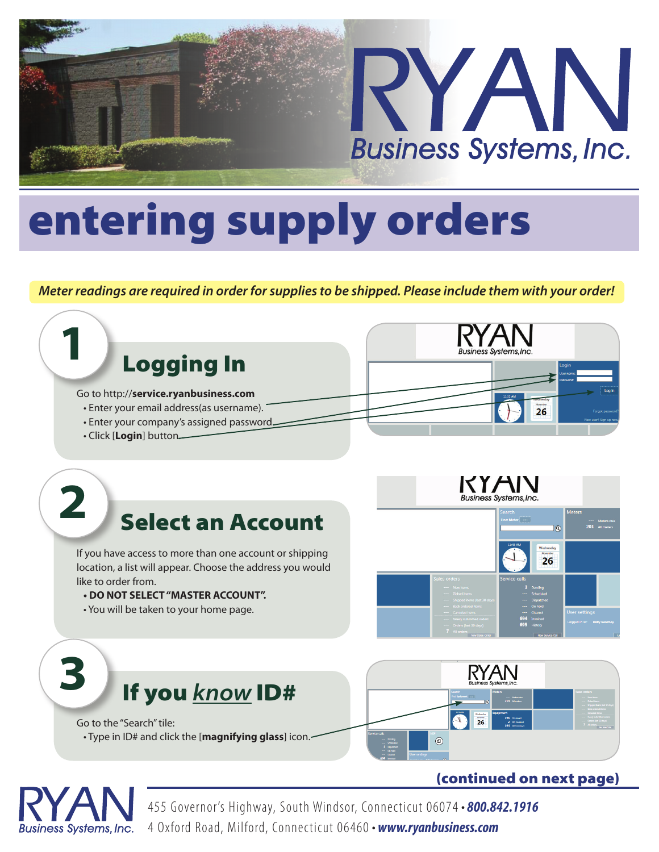

# entering supply orders

*Meter readings are required in order for supplies to be shipped. Please include them with your order!*



455 Governor's Highway, South Windsor, Connec ticut 06074 *• 800.842.1916* 4 Oxford Road, Milford, Connecticut 06460 *• www.ryanbusiness.com*

Business Systems, Inc.